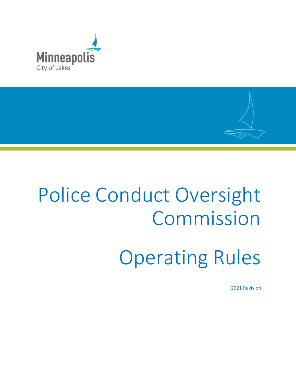



2021 Revision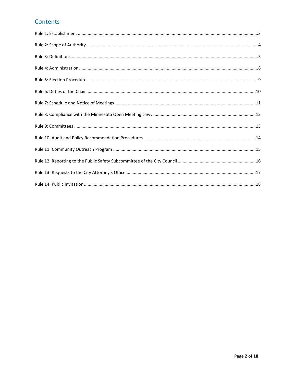## Contents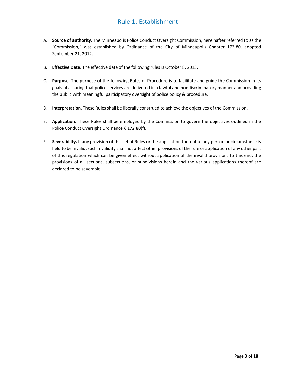#### Rule 1: Establishment

- <span id="page-2-0"></span>A. **Source of authority**. The Minneapolis Police Conduct Oversight Commission, hereinafter referred to as the "Commission," was established by Ordinance of the City of Minneapolis Chapter 172.80, adopted September 21, 2012.
- B. **Effective Date**. The effective date of the following rules is October 8, 2013.
- C. **Purpose**. The purpose of the following Rules of Procedure is to facilitate and guide the Commission in its goals of assuring that police services are delivered in a lawful and nondiscriminatory manner and providing the public with meaningful participatory oversight of police policy & procedure.
- D. **Interpretation**. These Rules shall be liberally construed to achieve the objectives of the Commission.
- E. **Application.** These Rules shall be employed by the Commission to govern the objectives outlined in the Police Conduct Oversight Ordinance § 172.80(f).
- F. **Severability.** If any provision of this set of Rules or the application thereof to any person or circumstance is held to be invalid, such invalidity shall not affect other provisions of the rule or application of any other part of this regulation which can be given effect without application of the invalid provision. To this end, the provisions of all sections, subsections, or subdivisions herein and the various applications thereof are declared to be severable.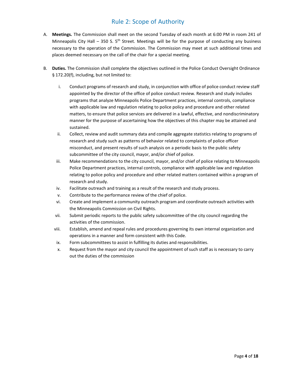# Rule 2: Scope of Authority

- <span id="page-3-0"></span>A. **Meetings.** The Commission shall meet on the second Tuesday of each month at 6:00 PM in room 241 of Minneapolis City Hall – 350 S.  $5<sup>th</sup>$  Street. Meetings will be for the purpose of conducting any business necessary to the operation of the Commission. The Commission may meet at such additional times and places deemed necessary on the call of the chair for a special meeting.
- B. **Duties.** The Commission shall complete the objectives outlined in the Police Conduct Oversight Ordinance § 172.20(f), including, but not limited to:
	- i. Conduct programs of research and study, in conjunction with office of police conduct review staff appointed by the director of the office of police conduct review. Research and study includes programs that analyze Minneapolis Police Department practices, internal controls, compliance with applicable law and regulation relating to police policy and procedure and other related matters, to ensure that police services are delivered in a lawful, effective, and nondiscriminatory manner for the purpose of ascertaining how the objectives of this chapter may be attained and sustained.
	- ii. Collect, review and audit summary data and compile aggregate statistics relating to programs of research and study such as patterns of behavior related to complaints of police officer misconduct, and present results of such analysis on a periodic basis to the public safety subcommittee of the city council, mayor, and/or chief of police.
	- iii. Make recommendations to the city council, mayor, and/or chief of police relating to Minneapolis Police Department practices, internal controls, compliance with applicable law and regulation relating to police policy and procedure and other related matters contained within a program of research and study.
	- iv. Facilitate outreach and training as a result of the research and study process.
	- v. Contribute to the performance review of the chief of police.
	- vi. Create and implement a community outreach program and coordinate outreach activities with the Minneapolis Commission on Civil Rights.
	- vii. Submit periodic reports to the public safety subcommittee of the city council regarding the activities of the commission.
	- viii. Establish, amend and repeal rules and procedures governing its own internal organization and operations in a manner and form consistent with this Code.
	- ix. Form subcommittees to assist in fulfilling its duties and responsibilities.
	- x. Request from the mayor and city council the appointment ofsuch staff as is necessary to carry out the duties of the commission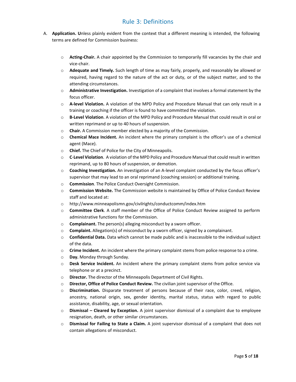#### Rule 3: Definitions

- <span id="page-4-0"></span>A. **Application. U**nless plainly evident from the context that a different meaning is intended, the following terms are defined for Commission business:
	- o **Acting-Chair.** A chair appointed by the Commission to temporarily fill vacancies by the chair and vice-chair.
	- o **Adequate and Timely.** Such length of time as may fairly, properly, and reasonably be allowed or required, having regard to the nature of the act or duty, or of the subject matter, and to the attending circumstances.
	- o **Administrative Investigation.** Investigation of a complaint that involves a formal statement by the focus officer.
	- o **A-level Violation.** A violation of the MPD Policy and Procedure Manual that can only result in a training or coaching if the officer is found to have committed the violation.
	- o **B-Level Violation**. A violation of the MPD Policy and Procedure Manual that could result in oral or written reprimand or up to 40 hours of suspension.
	- o **Chair.** A Commission member elected by a majority of the Commission.
	- o **Chemical Mace Incident.** An incident where the primary complaint is the officer's use of a chemical agent (Mace).
	- o **Chief.** The Chief of Police for the City of Minneapolis.
	- o **C**-**Level Violation**. A violation of the MPD Policy and Procedure Manual that could result in written reprimand, up to 80 hours of suspension, or demotion.
	- o **Coaching Investigation.** An investigation of an A-level complaint conducted by the focus officer's supervisor that may lead to an oral reprimand (coaching session) or additional training.
	- o **Commission**. The Police Conduct Oversight Commission.
	- o **Commission Website.** The Commission website is maintained by Office of Police Conduct Review staff and located at:
	- o <http://www.minneapolismn.gov/civilrights/conductcomm/index.htm>
	- o **Committee Clerk**. A staff member of the Office of Police Conduct Review assigned to perform administrative functions for the Commission.
	- o **Complainant.** The person(s) alleging misconduct by a sworn officer.
	- o **Complaint.** Allegation(s) of misconduct by a sworn officer, signed by a complainant.
	- o **Confidential Data.** Data which cannot be made public and is inaccessible to the individual subject of the data.
	- o **Crime Incident.** An incident where the primary complaint stems from police response to a crime.
	- o **Day.** Monday through Sunday.
	- o **Desk Service Incident.** An incident where the primary complaint stems from police service via telephone or at a precinct.
	- o **Director.** The director of the Minneapolis Department of Civil Rights.
	- o **Director, Office of Police Conduct Review.** The civilian joint supervisor of the Office.
	- o **Discrimination.** Disparate treatment of persons because of their race, color, creed, religion, ancestry, national origin, sex, gender identity, marital status, status with regard to public assistance, disability, age, or sexual orientation.
	- o **Dismissal – Cleared by Exception.** A joint supervisor dismissal of a complaint due to employee resignation, death, or other similar circumstances.
	- o **Dismissal for Failing to State a Claim.** A joint supervisor dismissal of a complaint that does not contain allegations of misconduct.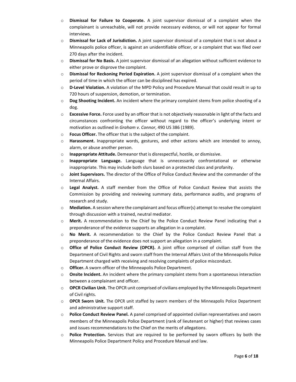- o **Dismissal for Failure to Cooperate.** A joint supervisor dismissal of a complaint when the complainant is unreachable, will not provide necessary evidence, or will not appear for formal interviews.
- o **Dismissal for Lack of Jurisdiction.** A joint supervisor dismissal of a complaint that is not about a Minneapolis police officer, is against an unidentifiable officer, or a complaint that was filed over 270 days after the incident.
- o **Dismissal for No Basis.** A joint supervisor dismissal of an allegation without sufficient evidence to either prove or disprove the complaint.
- o **Dismissal for Reckoning Period Expiration.** A joint supervisor dismissal of a complaint when the period of time in which the officer can be disciplined has expired.
- o **D-Level Violation.** A violation of the MPD Policy and Procedure Manual that could result in up to 720 hours of suspension, demotion, or termination.
- o **Dog Shooting Incident.** An incident where the primary complaint stems from police shooting of a dog.
- o **Excessive Force.** Force used by an officer that is not objectively reasonable in light of the facts and circumstances confronting the officer without regard to the officer's underlying intent or motivation as outlined in *Graham v. Connor*, 490 US 386 (1989).
- o **Focus Officer.** The officer that is the subject of the complaint.
- o **Harassment.** Inappropriate words, gestures, and other actions which are intended to annoy, alarm, or abuse another person.
- o **Inappropriate Attitude.** Demeanor that is disrespectful, hostile, or dismissive.
- o **Inappropriate Language.** Language that is unnecessarily confrontational or otherwise inappropriate. This may include both slurs based on a protected class and profanity.
- o **Joint Supervisors.** The director of the Office of Police Conduct Review and the commander of the Internal Affairs.
- o **Legal Analyst.** A staff member from the Office of Police Conduct Review that assists the Commission by providing and reviewing summary data, performance audits, and programs of research and study.
- o **Mediation.** A session where the complainant and focus officer(s) attempt to resolve the complaint through discussion with a trained, neutral mediator.
- o **Merit.** A recommendation to the Chief by the Police Conduct Review Panel indicating that a preponderance of the evidence supports an allegation in a complaint.
- o **No Merit.** A recommendation to the Chief by the Police Conduct Review Panel that a preponderance of the evidence does not support an allegation in a complaint.
- o **Office of Police Conduct Review (OPCR).** A joint office comprised of civilian staff from the Department of Civil Rights and sworn staff from the Internal Affairs Unit of the Minneapolis Police Department charged with receiving and resolving complaints of police misconduct.
- o **Officer.** A sworn officer of the Minneapolis Police Department.
- o **Onsite Incident.** An incident where the primary complaint stems from a spontaneous interaction between a complainant and officer.
- o **OPCR Civilian Unit.** The OPCR unit comprised of civilians employed by the Minneapolis Department of Civil rights.
- o **OPCR Sworn Unit.** The OPCR unit staffed by sworn members of the Minneapolis Police Department and administrative support staff.
- o **Police Conduct Review Panel.** A panel comprised of appointed civilian representatives and sworn members of the Minneapolis Police Department (rank of lieutenant or higher) that reviews cases and issues recommendations to the Chief on the merits of allegations.
- o **Police Protection.** Services that are required to be performed by sworn officers by both the Minneapolis Police Department Policy and Procedure Manual and law.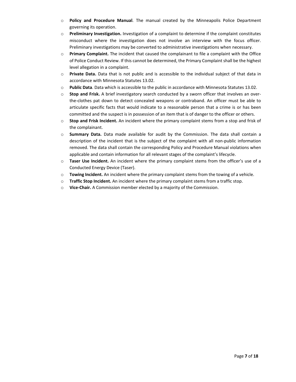- o **Policy and Procedure Manual**. The manual created by the Minneapolis Police Department governing its operation.
- o **Preliminary Investigation.** Investigation of a complaint to determine if the complaint constitutes misconduct where the investigation does not involve an interview with the focus officer. Preliminary investigations may be converted to administrative investigations when necessary.
- o **Primary Complaint.** The incident that caused the complainant to file a complaint with the Office of Police Conduct Review. If this cannot be determined, the Primary Complaint shall be the highest level allegation in a complaint.
- o **Private Data.** Data that is not public and is accessible to the individual subject of that data in accordance with Minnesota Statutes 13.02.
- o **Public Data**. Data which is accessible to the public in accordance with Minnesota Statutes 13.02.
- o **Stop and Frisk.** A brief investigatory search conducted by a sworn officer that involves an overthe-clothes pat down to detect concealed weapons or contraband. An officer must be able to articulate specific facts that would indicate to a reasonable person that a crime is or has been committed and the suspect is in possession of an item that is of danger to the officer or others.
- o **Stop and Frisk Incident.** An incident where the primary complaint stems from a stop and frisk of the complainant.
- o **Summary Data.** Data made available for audit by the Commission. The data shall contain a description of the incident that is the subject of the complaint with all non-public information removed. The data shall contain the corresponding Policy and Procedure Manual violations when applicable and contain information for all relevant stages of the complaint's lifecycle.
- o **Taser Use Incident.** An incident where the primary complaint stems from the officer's use of a Conducted Energy Device (Taser).
- o **Towing Incident.** An incident where the primary complaint stems from the towing of a vehicle.
- o **Traffic Stop Incident.** An incident where the primary complaint stems from a traffic stop.
- o **Vice-Chair.** A Commission member elected by a majority of the Commission.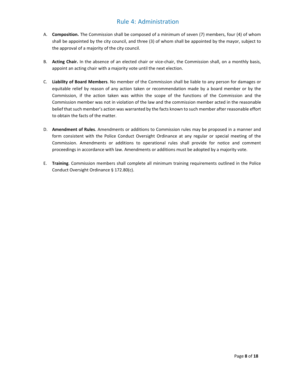#### Rule 4: Administration

- <span id="page-7-0"></span>A. **Composition.** The Commission shall be composed of a minimum of seven (7) members, four (4) of whom shall be appointed by the city council, and three (3) of whom shall be appointed by the mayor, subject to the approval of a majority of the city council.
- B. **Acting Chair.** In the absence of an elected chair or vice-chair, the Commission shall, on a monthly basis, appoint an acting chair with a majority vote until the next election.
- C. **Liability of Board Members**. No member of the Commission shall be liable to any person for damages or equitable relief by reason of any action taken or recommendation made by a board member or by the Commission, if the action taken was within the scope of the functions of the Commission and the Commission member was not in violation of the law and the commission member acted in the reasonable belief that such member's action was warranted by the facts known to such member after reasonable effort to obtain the facts of the matter.
- D. **Amendment of Rules**. Amendments or additions to Commission rules may be proposed in a manner and form consistent with the Police Conduct Oversight Ordinance at any regular or special meeting of the Commission. Amendments or additions to operational rules shall provide for notice and comment proceedings in accordance with law. Amendments or additions must be adopted by a majority vote.
- E. **Training**. Commission members shall complete all minimum training requirements outlined in the Police Conduct Oversight Ordinance § 172.80(c).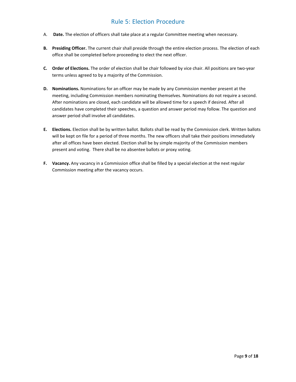## Rule 5: Election Procedure

- <span id="page-8-0"></span>A. **Date.** The election of officers shall take place at a regular Committee meeting when necessary.
- **B. Presiding Officer.** The current chair shall preside through the entire election process. The election of each office shall be completed before proceeding to elect the next officer.
- **C. Order of Elections.** The order of election shall be chair followed by vice chair. All positions are two-year terms unless agreed to by a majority of the Commission.
- **D. Nominations.** Nominations for an officer may be made by any Commission member present at the meeting, including Commission members nominating themselves. Nominations do not require a second. After nominations are closed, each candidate will be allowed time for a speech if desired. After all candidates have completed their speeches, a question and answer period may follow. The question and answer period shall involve all candidates.
- **E. Elections.** Election shall be by written ballot. Ballots shall be read by the Commission clerk. Written ballots will be kept on file for a period of three months. The new officers shall take their positions immediately after all offices have been elected. Election shall be by simple majority of the Commission members present and voting. There shall be no absentee ballots or proxy voting.
- **F. Vacancy.** Any vacancy in a Commission office shall be filled by a special election at the next regular Commission meeting after the vacancy occurs.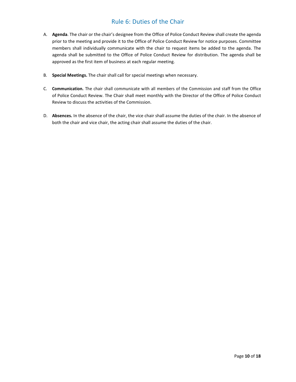# Rule 6: Duties of the Chair

- <span id="page-9-0"></span>A. **Agenda**. The chair or the chair's designee from the Office of Police Conduct Review shall create the agenda prior to the meeting and provide it to the Office of Police Conduct Review for notice purposes. Committee members shall individually communicate with the chair to request items be added to the agenda. The agenda shall be submitted to the Office of Police Conduct Review for distribution. The agenda shall be approved as the first item of business at each regular meeting.
- B. **Special Meetings.** The chair shall call for special meetings when necessary.
- C. **Communication.** The chair shall communicate with all members of the Commission and staff from the Office of Police Conduct Review. The Chair shall meet monthly with the Director of the Office of Police Conduct Review to discuss the activities of the Commission.
- D. **Absences.** In the absence of the chair, the vice chair shall assume the duties of the chair. In the absence of both the chair and vice chair, the acting chair shall assume the duties of the chair.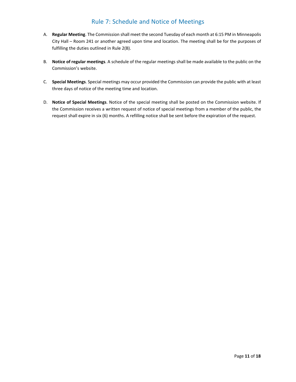## Rule 7: Schedule and Notice of Meetings

- <span id="page-10-0"></span>A. **Regular Meeting**. The Commission shall meet the second Tuesday of each month at 6:15 PM in Minneapolis City Hall – Room 241 or another agreed upon time and location. The meeting shall be for the purposes of fulfilling the duties outlined in Rule 2(B).
- B. **Notice of regular meetings**. A schedule of the regular meetings shall be made available to the public on the Commission's website.
- C. **Special Meetings**. Special meetings may occur provided the Commission can provide the public with at least three days of notice of the meeting time and location.
- D. **Notice of Special Meetings**. Notice of the special meeting shall be posted on the Commission website. If the Commission receives a written request of notice of special meetings from a member of the public, the request shall expire in six (6) months. A refilling notice shall be sent before the expiration of the request.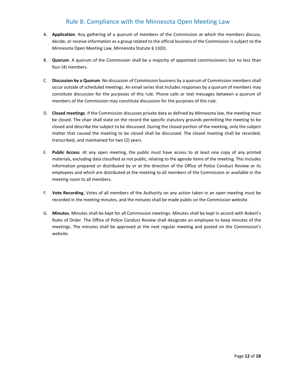#### Rule 8: Compliance with the Minnesota Open Meeting Law

- <span id="page-11-0"></span>A. **Application**. Any gathering of a quorum of members of the Commission at which the members discuss, decide, or receive information as a group related to the official business of the Commission is subject to the Minnesota Open Meeting Law, Minnesota Statute § 13(D).
- B. **Quorum**. A quorum of the Commission shall be a majority of appointed commissioners but no less than four (4) members.
- C. **Discussion by a Quorum**. No discussion of Commission business by a quorum of Commission members shall occur outside of scheduled meetings. An email series that includes responses by a quorum of members may constitute discussion for the purposes of this rule. Phone calls or text messages between a quorum of members of the Commission may constitute discussion for the purposes of this rule.
- D. **Closed meetings**. If the Commission discusses private data as defined by Minnesota law, the meeting must be closed. The chair shall state on the record the specific statutory grounds permitting the meeting to be closed and describe the subject to be discussed. During the closed portion of the meeting, only the subject matter that caused the meeting to be closed shall be discussed. The closed meeting shall be recorded, transcribed, and maintained for two (2) years.
- E. **Public Access**. At any open meeting, the public must have access to at least one copy of any printed materials, excluding data classified as not public, relating to the agenda items of the meeting. This includes information prepared or distributed by or at the direction of the Office of Police Conduct Review or its employees and which are distributed at the meeting to all members of the Commission or available in the meeting room to all members.
- F. **Vote Recording.** Votes of all members of the Authority on any action taken in an open meeting must be recorded in the meeting minutes, and the minutes shall be made public on the Commission website.
- G. **Minutes.** Minutes shall be kept for all Commission meetings. Minutes shall be kept in accord with Robert's Rules of Order. The Office of Police Conduct Review shall designate an employee to keep minutes of the meetings. The minutes shall be approved at the next regular meeting and posted on the Commission's website.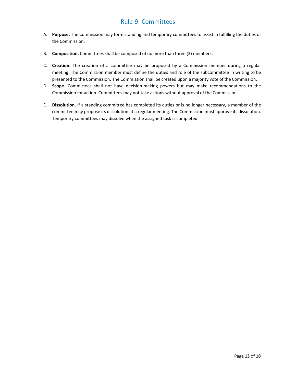#### Rule 9: Committees

- <span id="page-12-0"></span>A. **Purpose.** The Commission may form standing and temporary committees to assist in fulfilling the duties of the Commission.
- B. **Composition.** Committees shall be composed of no more than three (3) members.
- C. **Creation.** The creation of a committee may be proposed by a Commission member during a regular meeting. The Commission member must define the duties and role of the subcommittee in writing to be presented to the Commission. The Commission shall be created upon a majority vote of the Commission.
- D. **Scope.** Committees shall not have decision-making powers but may make recommendations to the Commission for action. Committees may not take actions without approval of the Commission.
- E. **Dissolution.** If a standing committee has completed its duties or is no longer necessary, a member of the committee may propose its dissolution at a regular meeting. The Commission must approve its dissolution. Temporary committees may dissolve when the assigned task is completed.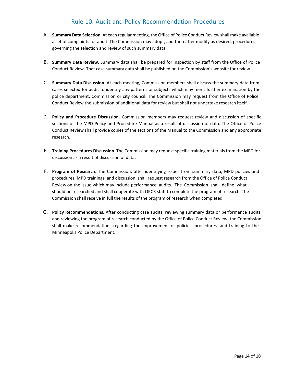#### Rule 10: Audit and Policy Recommendation Procedures

- <span id="page-13-0"></span>A. **Summary Data Selection**. At each regular meeting, the Office of Police Conduct Review shall make available a set of complaints for audit. The Commission may adopt, and thereafter modify as desired, procedures governing the selection and review of such summary data.
- B. **Summary Data Review**. Summary data shall be prepared for inspection by staff from the Office of Police Conduct Review. That case summary data shall be published on the Commission's website for review.
- C. **Summary Data Discussion**. At each meeting, Commission members shall discuss the summary data from cases selected for audit to identify any patterns or subjects which may merit further examination by the police department, Commission or city council. The Commission may request from the Office of Police Conduct Review the submission of additional data for review but shall not undertake research itself.
- D. **Policy and Procedure Discussion**. Commission members may request review and discussion of specific sections of the MPD Policy and Procedure Manual as a result of discussion of data. The Office of Police Conduct Review shall provide copies of the sections of the Manual to the Commission and any appropriate research.
- E. **Training Procedures Discussion**. The Commission may request specific training materials from the MPD for discussion as a result of discussion of data.
- F. **Program of Research**. The Commission, after identifying issues from summary data, MPD policies and procedures, MPD trainings, and discussion, shall request research from the Office of Police Conduct Review on the issue which may include performance audits. The Commission shall define what should be researched and shall cooperate with OPCR staff to complete the program of research. The Commission shall receive in full the results of the program of research when completed.
- G. **Policy Recommendations**. After conducting case audits, reviewing summary data or performance audits and reviewing the program of research conducted by the Office of Police Conduct Review, the Commission shall make recommendations regarding the improvement of policies, procedures, and training to the Minneapolis Police Department.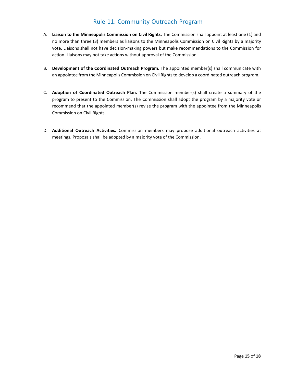## Rule 11: Community Outreach Program

- <span id="page-14-0"></span>A. **Liaison to the Minneapolis Commission on Civil Rights.** The Commission shall appoint at least one (1) and no more than three (3) members as liaisons to the Minneapolis Commission on Civil Rights by a majority vote. Liaisons shall not have decision-making powers but make recommendations to the Commission for action. Liaisons may not take actions without approval of the Commission.
- B. **Development of the Coordinated Outreach Program.** The appointed member(s) shall communicate with an appointee from the Minneapolis Commission on Civil Rightsto develop a coordinated outreach program.
- C. **Adoption of Coordinated Outreach Plan.** The Commission member(s) shall create a summary of the program to present to the Commission. The Commission shall adopt the program by a majority vote or recommend that the appointed member(s) revise the program with the appointee from the Minneapolis Commission on Civil Rights.
- D. **Additional Outreach Activities.** Commission members may propose additional outreach activities at meetings. Proposals shall be adopted by a majority vote of the Commission.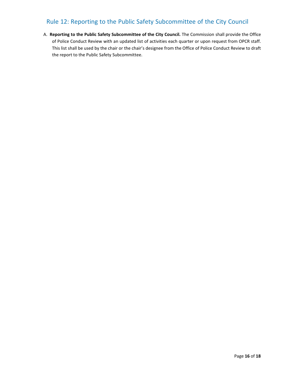# <span id="page-15-0"></span>Rule 12: Reporting to the Public Safety Subcommittee of the City Council

A. **Reporting to the Public Safety Subcommittee of the City Council.** The Commission shall provide the Office of Police Conduct Review with an updated list of activities each quarter or upon request from OPCR staff. This list shall be used by the chair or the chair's designee from the Office of Police Conduct Review to draft the report to the Public Safety Subcommittee.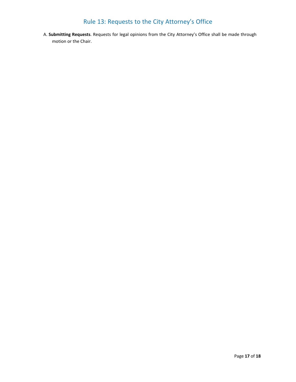# Rule 13: Requests to the City Attorney's Office

<span id="page-16-0"></span>A. **Submitting Requests**. Requests for legal opinions from the City Attorney's Office shall be made through motion or the Chair.